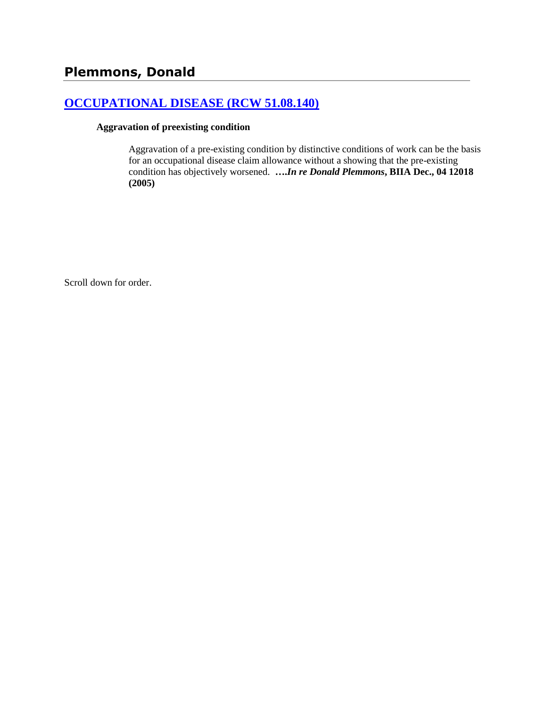# **[OCCUPATIONAL DISEASE \(RCW 51.08.140\)](http://www.biia.wa.gov/SDSubjectIndex.html#OCCUPATIONAL_DISEASE)**

#### **Aggravation of preexisting condition**

Aggravation of a pre-existing condition by distinctive conditions of work can be the basis for an occupational disease claim allowance without a showing that the pre-existing condition has objectively worsened. **….***In re Donald Plemmons***, BIIA Dec., 04 12018 (2005)**

Scroll down for order.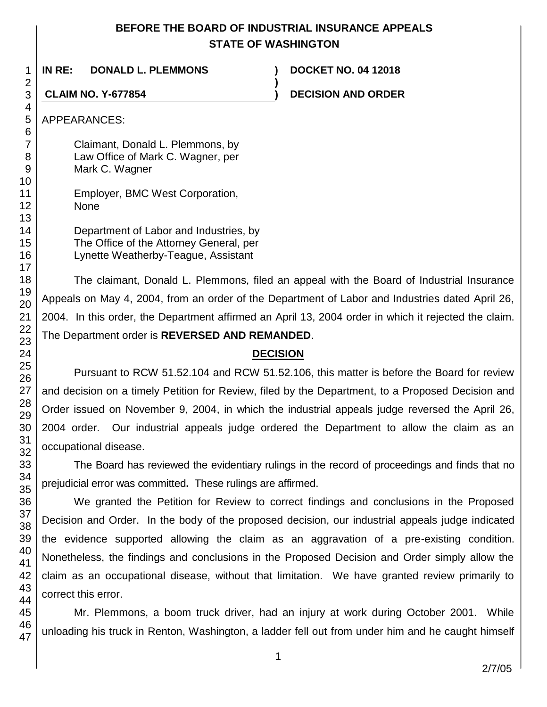# **BEFORE THE BOARD OF INDUSTRIAL INSURANCE APPEALS STATE OF WASHINGTON**

**)**

**IN RE: DONALD L. PLEMMONS ) DOCKET NO. 04 12018**

**CLAIM NO. Y-677854 ) DECISION AND ORDER**

Claimant, Donald L. Plemmons, by Law Office of Mark C. Wagner, per Mark C. Wagner

Employer, BMC West Corporation, None

Department of Labor and Industries, by The Office of the Attorney General, per Lynette Weatherby-Teague, Assistant

The claimant, Donald L. Plemmons, filed an appeal with the Board of Industrial Insurance Appeals on May 4, 2004, from an order of the Department of Labor and Industries dated April 26, 2004. In this order, the Department affirmed an April 13, 2004 order in which it rejected the claim. The Department order is **REVERSED AND REMANDED**.

# **DECISION**

Pursuant to RCW 51.52.104 and RCW 51.52.106, this matter is before the Board for review and decision on a timely Petition for Review, filed by the Department, to a Proposed Decision and Order issued on November 9, 2004, in which the industrial appeals judge reversed the April 26, 2004 order. Our industrial appeals judge ordered the Department to allow the claim as an occupational disease.

The Board has reviewed the evidentiary rulings in the record of proceedings and finds that no prejudicial error was committed**.** These rulings are affirmed.

We granted the Petition for Review to correct findings and conclusions in the Proposed Decision and Order. In the body of the proposed decision, our industrial appeals judge indicated the evidence supported allowing the claim as an aggravation of a pre-existing condition. Nonetheless, the findings and conclusions in the Proposed Decision and Order simply allow the claim as an occupational disease, without that limitation. We have granted review primarily to correct this error.

Mr. Plemmons, a boom truck driver, had an injury at work during October 2001. While unloading his truck in Renton, Washington, a ladder fell out from under him and he caught himself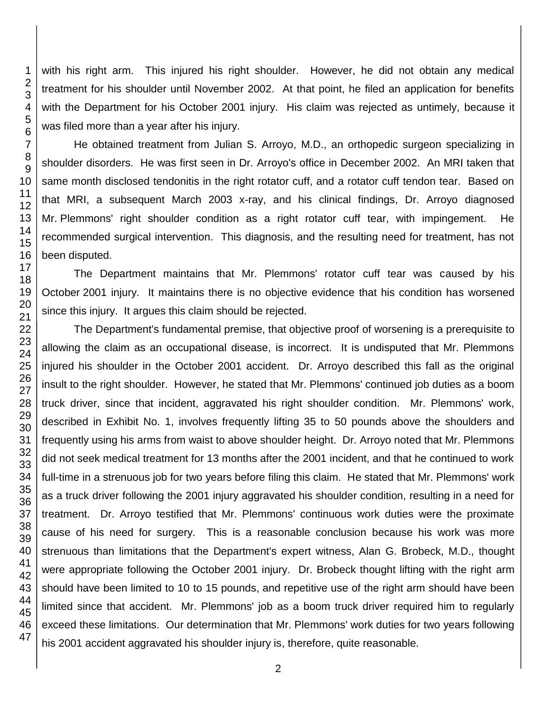with his right arm. This injured his right shoulder. However, he did not obtain any medical treatment for his shoulder until November 2002. At that point, he filed an application for benefits with the Department for his October 2001 injury. His claim was rejected as untimely, because it was filed more than a year after his injury.

He obtained treatment from Julian S. Arroyo, M.D., an orthopedic surgeon specializing in shoulder disorders. He was first seen in Dr. Arroyo's office in December 2002. An MRI taken that same month disclosed tendonitis in the right rotator cuff, and a rotator cuff tendon tear. Based on that MRI, a subsequent March 2003 x-ray, and his clinical findings, Dr. Arroyo diagnosed Mr. Plemmons' right shoulder condition as a right rotator cuff tear, with impingement. He recommended surgical intervention. This diagnosis, and the resulting need for treatment, has not been disputed.

The Department maintains that Mr. Plemmons' rotator cuff tear was caused by his October 2001 injury. It maintains there is no objective evidence that his condition has worsened since this injury. It argues this claim should be rejected.

The Department's fundamental premise, that objective proof of worsening is a prerequisite to allowing the claim as an occupational disease, is incorrect. It is undisputed that Mr. Plemmons injured his shoulder in the October 2001 accident. Dr. Arroyo described this fall as the original insult to the right shoulder. However, he stated that Mr. Plemmons' continued job duties as a boom truck driver, since that incident, aggravated his right shoulder condition. Mr. Plemmons' work, described in Exhibit No. 1, involves frequently lifting 35 to 50 pounds above the shoulders and frequently using his arms from waist to above shoulder height. Dr. Arroyo noted that Mr. Plemmons did not seek medical treatment for 13 months after the 2001 incident, and that he continued to work full-time in a strenuous job for two years before filing this claim. He stated that Mr. Plemmons' work as a truck driver following the 2001 injury aggravated his shoulder condition, resulting in a need for treatment. Dr. Arroyo testified that Mr. Plemmons' continuous work duties were the proximate cause of his need for surgery. This is a reasonable conclusion because his work was more strenuous than limitations that the Department's expert witness, Alan G. Brobeck, M.D., thought were appropriate following the October 2001 injury. Dr. Brobeck thought lifting with the right arm should have been limited to 10 to 15 pounds, and repetitive use of the right arm should have been limited since that accident. Mr. Plemmons' job as a boom truck driver required him to regularly exceed these limitations. Our determination that Mr. Plemmons' work duties for two years following his 2001 accident aggravated his shoulder injury is, therefore, quite reasonable.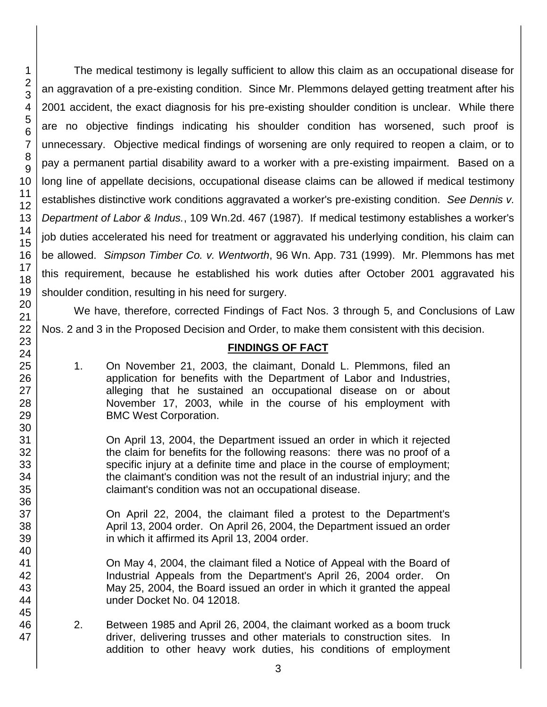The medical testimony is legally sufficient to allow this claim as an occupational disease for an aggravation of a pre-existing condition. Since Mr. Plemmons delayed getting treatment after his 2001 accident, the exact diagnosis for his pre-existing shoulder condition is unclear. While there are no objective findings indicating his shoulder condition has worsened, such proof is unnecessary. Objective medical findings of worsening are only required to reopen a claim, or to pay a permanent partial disability award to a worker with a pre-existing impairment. Based on a long line of appellate decisions, occupational disease claims can be allowed if medical testimony establishes distinctive work conditions aggravated a worker's pre-existing condition. *See Dennis v. Department of Labor & Indus.*, 109 Wn.2d. 467 (1987). If medical testimony establishes a worker's job duties accelerated his need for treatment or aggravated his underlying condition, his claim can be allowed. *Simpson Timber Co. v. Wentworth*, 96 Wn. App. 731 (1999). Mr. Plemmons has met this requirement, because he established his work duties after October 2001 aggravated his shoulder condition, resulting in his need for surgery.

We have, therefore, corrected Findings of Fact Nos. 3 through 5, and Conclusions of Law Nos. 2 and 3 in the Proposed Decision and Order, to make them consistent with this decision.

## **FINDINGS OF FACT**

1. On November 21, 2003, the claimant, Donald L. Plemmons, filed an application for benefits with the Department of Labor and Industries, alleging that he sustained an occupational disease on or about November 17, 2003, while in the course of his employment with BMC West Corporation.

On April 13, 2004, the Department issued an order in which it rejected the claim for benefits for the following reasons: there was no proof of a specific injury at a definite time and place in the course of employment; the claimant's condition was not the result of an industrial injury; and the claimant's condition was not an occupational disease.

On April 22, 2004, the claimant filed a protest to the Department's April 13, 2004 order. On April 26, 2004, the Department issued an order in which it affirmed its April 13, 2004 order.

On May 4, 2004, the claimant filed a Notice of Appeal with the Board of Industrial Appeals from the Department's April 26, 2004 order. On May 25, 2004, the Board issued an order in which it granted the appeal under Docket No. 04 12018.

2. Between 1985 and April 26, 2004, the claimant worked as a boom truck driver, delivering trusses and other materials to construction sites. In addition to other heavy work duties, his conditions of employment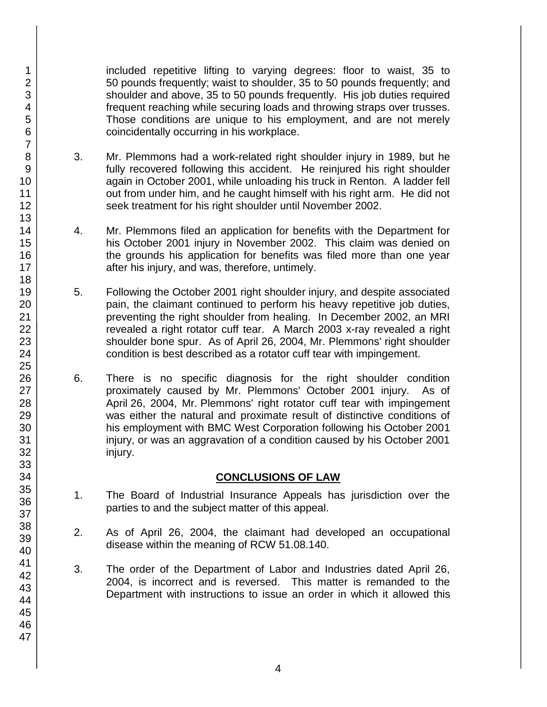included repetitive lifting to varying degrees: floor to waist, 35 to 50 pounds frequently; waist to shoulder, 35 to 50 pounds frequently; and shoulder and above, 35 to 50 pounds frequently. His job duties required frequent reaching while securing loads and throwing straps over trusses. Those conditions are unique to his employment, and are not merely coincidentally occurring in his workplace.

- 3. Mr. Plemmons had a work-related right shoulder injury in 1989, but he fully recovered following this accident. He reinjured his right shoulder again in October 2001, while unloading his truck in Renton. A ladder fell out from under him, and he caught himself with his right arm. He did not seek treatment for his right shoulder until November 2002.
- 4. Mr. Plemmons filed an application for benefits with the Department for his October 2001 injury in November 2002. This claim was denied on the grounds his application for benefits was filed more than one year after his injury, and was, therefore, untimely.
- 5. Following the October 2001 right shoulder injury, and despite associated pain, the claimant continued to perform his heavy repetitive job duties, preventing the right shoulder from healing. In December 2002, an MRI revealed a right rotator cuff tear. A March 2003 x-ray revealed a right shoulder bone spur. As of April 26, 2004, Mr. Plemmons' right shoulder condition is best described as a rotator cuff tear with impingement.
- 6. There is no specific diagnosis for the right shoulder condition proximately caused by Mr. Plemmons' October 2001 injury. As of April 26, 2004, Mr. Plemmons' right rotator cuff tear with impingement was either the natural and proximate result of distinctive conditions of his employment with BMC West Corporation following his October 2001 injury, or was an aggravation of a condition caused by his October 2001 injury.

## **CONCLUSIONS OF LAW**

- 1. The Board of Industrial Insurance Appeals has jurisdiction over the parties to and the subject matter of this appeal.
- 2. As of April 26, 2004, the claimant had developed an occupational disease within the meaning of RCW 51.08.140.
- 3. The order of the Department of Labor and Industries dated April 26, 2004, is incorrect and is reversed. This matter is remanded to the Department with instructions to issue an order in which it allowed this